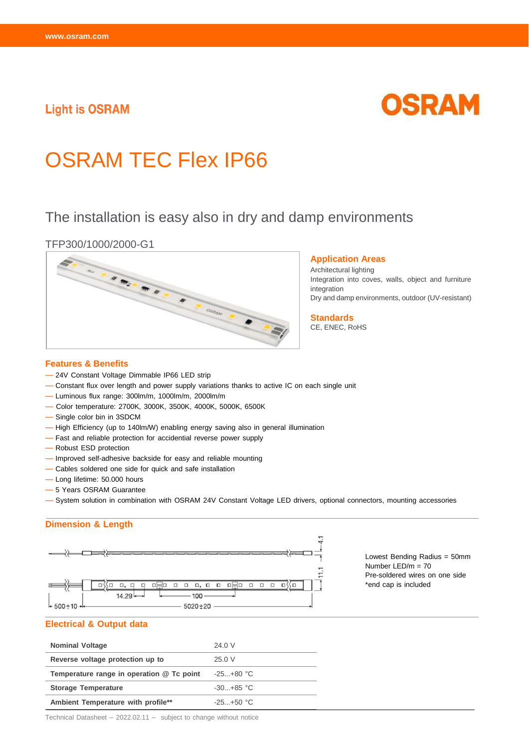### **Light is OSRAM**

# OSRAM

## OSRAM TEC Flex IP66

## The installation is easy also in dry and damp environments

#### TFP300/1000/2000-G1



#### **Application Areas**

Architectural lighting Integration into coves, walls, object and furniture integration Dry and damp environments, outdoor (UV-resistant)

**Standards** CE, ENEC, RoHS

## **Features & Benefits**

- 24V Constant Voltage Dimmable IP66 LED strip
- Constant flux over length and power supply variations thanks to active IC on each single unit
- Luminous flux range: 300lm/m, 1000lm/m, 2000lm/m
- Color temperature: 2700K, 3000K, 3500K, 4000K, 5000K, 6500K
- Single color bin in 3SDCM
- High Efficiency (up to 140lm/W) enabling energy saving also in general illumination
- Fast and reliable protection for accidential reverse power supply
- Robust ESD protection
- Improved self-adhesive backside for easy and reliable mounting
- Cables soldered one side for quick and safe installation
- Long lifetime: 50.000 hours
- 5 Years OSRAM Guarantee
- System solution in combination with OSRAM 24V Constant Voltage LED drivers, optional connectors, mounting accessories

#### **Dimension & Length**



Lowest Bending Radius = 50mm Number LED/m = 70 Pre-soldered wires on one side \*end cap is included

#### **Electrical & Output data**

| <b>Nominal Voltage</b>                    | 24.0 V        |
|-------------------------------------------|---------------|
| Reverse voltage protection up to          | 25.0 V        |
| Temperature range in operation @ Tc point | $-25+80$ °C   |
| <b>Storage Temperature</b>                | $-30. +85$ °C |
| Ambient Temperature with profile**        | $-25. +50 °C$ |

Technical Datasheet – 2022.02.11 – subject to change without notice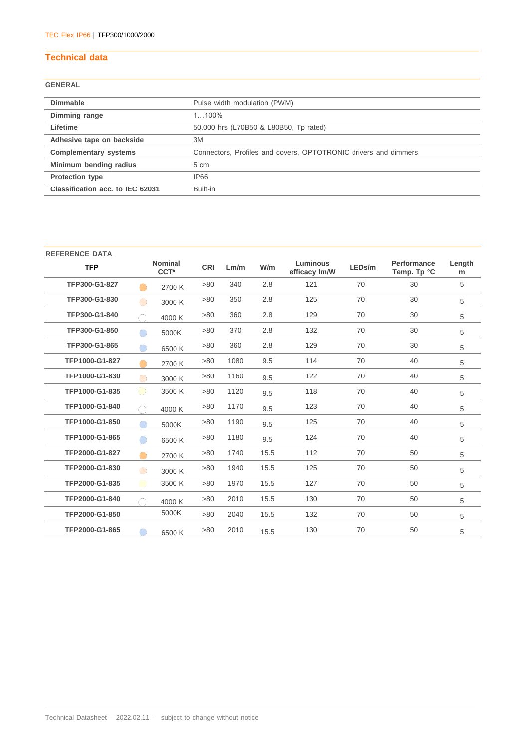#### **Technical data**

#### **GENERAL**

| <b>Dimmable</b>                  | Pulse width modulation (PWM)                                    |
|----------------------------------|-----------------------------------------------------------------|
| Dimming range                    | $1100\%$                                                        |
| Lifetime                         | 50.000 hrs (L70B50 & L80B50, Tp rated)                          |
| Adhesive tape on backside        | 3M                                                              |
| <b>Complementary systems</b>     | Connectors, Profiles and covers, OPTOTRONIC drivers and dimmers |
| Minimum bending radius           | $5 \text{ cm}$                                                  |
| <b>Protection type</b>           | IP66                                                            |
| Classification acc. to IEC 62031 | Built-in                                                        |

| <b>REFERENCE DATA</b> |                |                                    |            |      |      |                           |        |                            |             |
|-----------------------|----------------|------------------------------------|------------|------|------|---------------------------|--------|----------------------------|-------------|
| <b>TFP</b>            |                | <b>Nominal</b><br>CCT <sup>*</sup> | <b>CRI</b> | Lm/m | W/m  | Luminous<br>efficacy Im/W | LEDs/m | Performance<br>Temp. Tp °C | Length<br>m |
| TFP300-G1-827         |                | 2700 K                             | >80        | 340  | 2.8  | 121                       | 70     | 30                         | 5           |
| TFP300-G1-830         |                | 3000 K                             | >80        | 350  | 2.8  | 125                       | 70     | 30                         | 5           |
| TFP300-G1-840         | r i            | 4000 K                             | >80        | 360  | 2.8  | 129                       | 70     | 30                         | 5           |
| TFP300-G1-850         |                | 5000K                              | >80        | 370  | 2.8  | 132                       | 70     | 30                         | 5           |
| TFP300-G1-865         |                | 6500 K                             | >80        | 360  | 2.8  | 129                       | 70     | 30                         | 5           |
| TFP1000-G1-827        |                | 2700 K                             | >80        | 1080 | 9.5  | 114                       | 70     | 40                         | 5           |
| TFP1000-G1-830        |                | 3000 K                             | >80        | 1160 | 9.5  | 122                       | 70     | 40                         | 5           |
| TFP1000-G1-835        |                | 3500 K                             | >80        | 1120 | 9.5  | 118                       | 70     | 40                         | 5           |
| TFP1000-G1-840        |                | 4000 K                             | >80        | 1170 | 9.5  | 123                       | 70     | 40                         | 5           |
| TFP1000-G1-850        |                | 5000K                              | >80        | 1190 | 9.5  | 125                       | 70     | 40                         | 5           |
| TFP1000-G1-865        |                | 6500 K                             | >80        | 1180 | 9.5  | 124                       | 70     | 40                         | 5           |
| TFP2000-G1-827        |                | 2700 K                             | >80        | 1740 | 15.5 | 112                       | 70     | 50                         | 5           |
| TFP2000-G1-830        | $\blacksquare$ | 3000 K                             | >80        | 1940 | 15.5 | 125                       | 70     | 50                         | 5           |
| TFP2000-G1-835        | O)             | 3500 K                             | >80        | 1970 | 15.5 | 127                       | 70     | 50                         | 5           |
| TFP2000-G1-840        | O              | 4000 K                             | >80        | 2010 | 15.5 | 130                       | 70     | 50                         | 5           |
| TFP2000-G1-850        |                | 5000K                              | >80        | 2040 | 15.5 | 132                       | 70     | 50                         | 5           |
| TFP2000-G1-865        |                | 6500 K                             | >80        | 2010 | 15.5 | 130                       | 70     | 50                         | 5           |
|                       |                |                                    |            |      |      |                           |        |                            |             |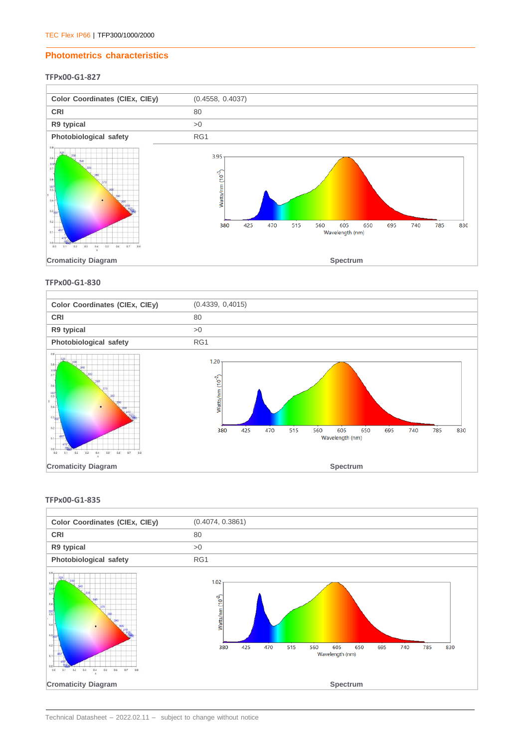#### **Photometrics characteristics**

#### **TFPx00-G1-827**



#### **TFPx00-G1-830**



#### **TFPx00-G1-835**

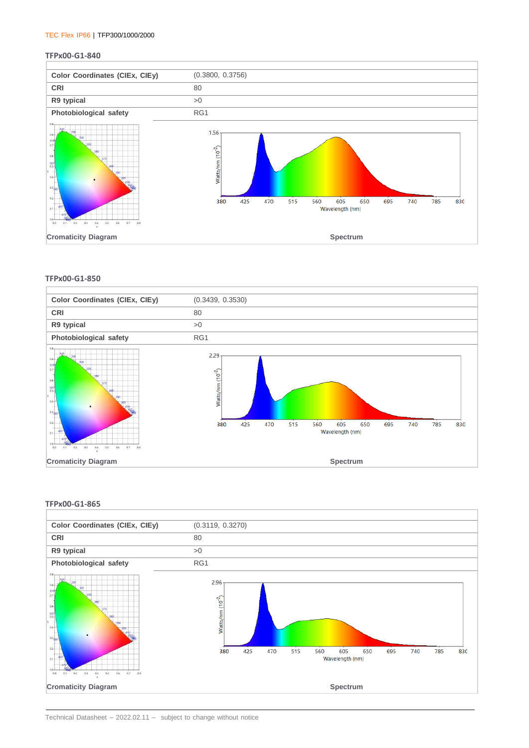#### TEC Flex IP66 | TFP300/1000/2000

#### **TFPx00-G1-840**



#### **TFPx00-G1-850**



#### **TFPx00-G1-865**

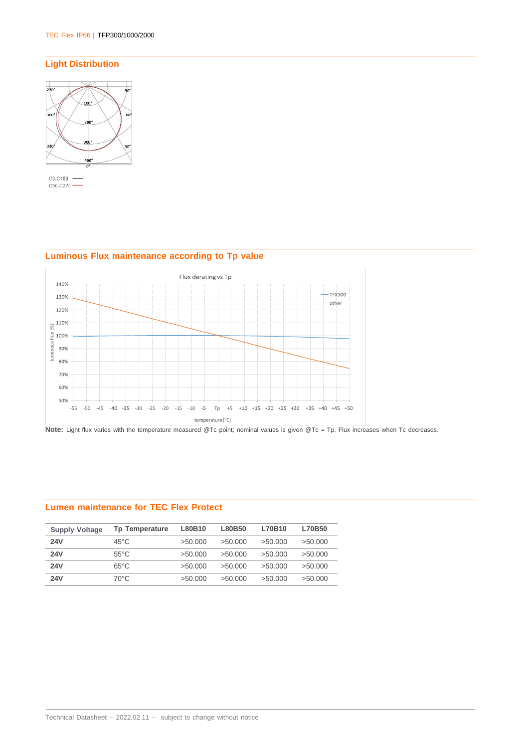## **Light Distribution**



#### Flux derating vs Tp 140%  $-$ TFX300 130%  $-\circ$ ther 120%  $\frac{110\%}{80\%}$ <br> $\frac{3}{2}$  100%<br> $\frac{3}{2}$  90%<br> $\frac{90\%}{80\%}$ luminous flux [%] 80% 70% 60% 50% -55 -50 -45 -40 -35 -30 -25 -20 -15 -10 -5 Tp +5 +10 +15 +20 +25 +30 +35 +40 +45 +50 temperature [°C]

#### **Luminous Flux maintenance according to Tp value**

**Note:** Light flux varies with the temperature measured @Tc point; nominal values is given @Tc = Tp. Flux increases when Tc decreases.

#### **Lumen maintenance for TEC Flex Protect**

| <b>Supply Voltage</b> | <b>Tp Temperature</b> | L80B10  | L80B50  | L70B10  | L70B50  |
|-----------------------|-----------------------|---------|---------|---------|---------|
| <b>24V</b>            | $45^{\circ}$ C        | >50.000 | >50.000 | >50.000 | >50.000 |
| <b>24V</b>            | $55^{\circ}$ C        | >50.000 | >50.000 | >50.000 | >50.000 |
| <b>24V</b>            | $65^{\circ}$ C        | >50.000 | >50.000 | >50.000 | >50.000 |
| <b>24V</b>            | 70°C                  | >50.000 | >50.000 | >50.000 | >50.000 |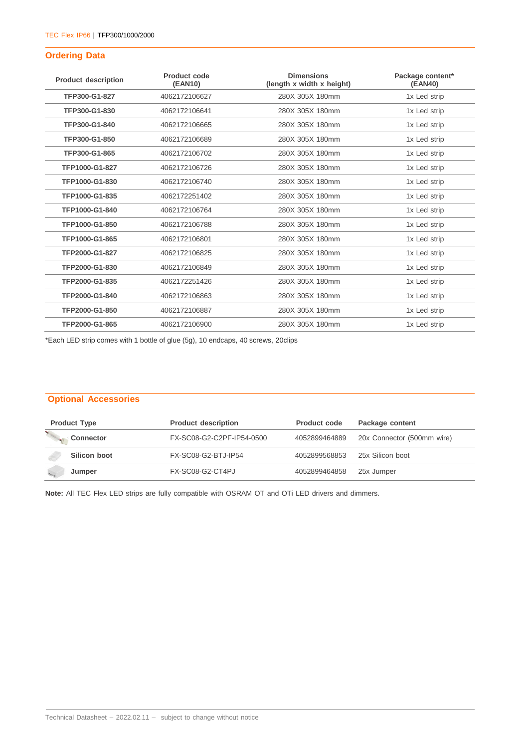#### **Ordering Data**

| <b>Product description</b> | Product code<br>(EAN10) | <b>Dimensions</b><br>(length x width x height) | Package content*<br>(EAN40) |
|----------------------------|-------------------------|------------------------------------------------|-----------------------------|
| TFP300-G1-827              | 4062172106627           | 280X 305X 180mm                                | 1x Led strip                |
| TFP300-G1-830              | 4062172106641           | 280X 305X 180mm                                | 1x Led strip                |
| TFP300-G1-840              | 4062172106665           | 280X 305X 180mm                                | 1x Led strip                |
| TFP300-G1-850              | 4062172106689           | 280X 305X 180mm                                | 1x Led strip                |
| TFP300-G1-865              | 4062172106702           | 280X 305X 180mm                                | 1x Led strip                |
| TFP1000-G1-827             | 4062172106726           | 280X 305X 180mm                                | 1x Led strip                |
| TFP1000-G1-830             | 4062172106740           | 280X 305X 180mm                                | 1x Led strip                |
| TFP1000-G1-835             | 4062172251402           | 280X 305X 180mm                                | 1x Led strip                |
| TFP1000-G1-840             | 4062172106764           | 280X 305X 180mm                                | 1x Led strip                |
| TFP1000-G1-850             | 4062172106788           | 280X 305X 180mm                                | 1x Led strip                |
| TFP1000-G1-865             | 4062172106801           | 280X 305X 180mm                                | 1x Led strip                |
| TFP2000-G1-827             | 4062172106825           | 280X 305X 180mm                                | 1x Led strip                |
| TFP2000-G1-830             | 4062172106849           | 280X 305X 180mm                                | 1x Led strip                |
| TFP2000-G1-835             | 4062172251426           | 280X 305X 180mm                                | 1x Led strip                |
| TFP2000-G1-840             | 4062172106863           | 280X 305X 180mm                                | 1x Led strip                |
| TFP2000-G1-850             | 4062172106887           | 280X 305X 180mm                                | 1x Led strip                |
| TFP2000-G1-865             | 4062172106900           | 280X 305X 180mm                                | 1x Led strip                |

\*Each LED strip comes with 1 bottle of glue (5g), 10 endcaps, 40 screws, 20clips

#### **Optional Accessories**

| <b>Product Type</b> | <b>Product description</b> | <b>Product code</b> | Package content            |
|---------------------|----------------------------|---------------------|----------------------------|
| <b>Connector</b>    | FX-SC08-G2-C2PF-IP54-0500  | 4052899464889       | 20x Connector (500mm wire) |
| Silicon boot        | FX-SC08-G2-BTJ-IP54        | 4052899568853       | 25x Silicon boot           |
| Jumper              | FX-SC08-G2-CT4PJ           | 4052899464858       | 25x Jumper                 |

**Note:** All TEC Flex LED strips are fully compatible with OSRAM OT and OTi LED drivers and dimmers.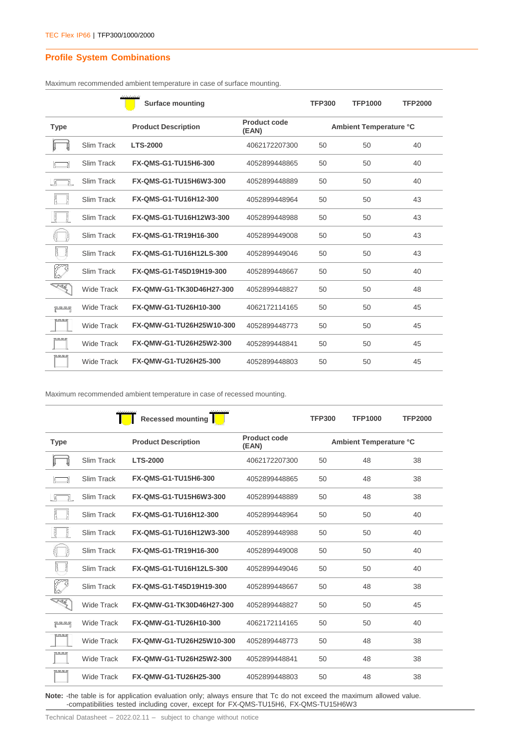#### **Profile System Combinations**

|                    |                   | <b>Surface mounting</b>     |                              | <b>TFP300</b>          | <b>TFP1000</b> | <b>TFP2000</b> |  |
|--------------------|-------------------|-----------------------------|------------------------------|------------------------|----------------|----------------|--|
| <b>Type</b>        |                   | <b>Product Description</b>  | <b>Product code</b><br>(EAN) | Ambient Temperature °C |                |                |  |
|                    | Slim Track        | <b>LTS-2000</b>             | 4062172207300                | 50                     | 50             | 40             |  |
|                    | Slim Track        | <b>FX-QMS-G1-TU15H6-300</b> | 4052899448865                | 50                     | 50             | 40             |  |
|                    | Slim Track        | FX-QMS-G1-TU15H6W3-300      | 4052899448889                | 50                     | 50             | 40             |  |
| Ę                  | Slim Track        | FX-QMS-G1-TU16H12-300       | 4052899448964                | 50                     | 50             | 43             |  |
| है                 | Slim Track        | FX-QMS-G1-TU16H12W3-300     | 4052899448988                | 50                     | 50             | 43             |  |
| ļ,                 | Slim Track        | FX-QMS-G1-TR19H16-300       | 4052899449008                | 50                     | 50             | 43             |  |
| $\frac{1}{2}$<br>Ţ | Slim Track        | FX-QMS-G1-TU16H12LS-300     | 4052899449046                | 50                     | 50             | 43             |  |
|                    | Slim Track        | FX-QMS-G1-T45D19H19-300     | 4052899448667                | 50                     | 50             | 40             |  |
| 大家                 | <b>Wide Track</b> | FX-QMW-G1-TK30D46H27-300    | 4052899448827                | 50                     | 50             | 48             |  |
| ਸੂਦ ਬਦ ਬਹੁ         | Wide Track        | FX-QMW-G1-TU26H10-300       | 4062172114165                | 50                     | 50             | 45             |  |
|                    | <b>Wide Track</b> | FX-QMW-G1-TU26H25W10-300    | 4052899448773                | 50                     | 50             | 45             |  |
| 2525               | <b>Wide Track</b> | FX-QMW-G1-TU26H25W2-300     | 4052899448841                | 50                     | 50             | 45             |  |
| りゅうら               | Wide Track        | FX-QMW-G1-TU26H25-300       | 4052899448803                | 50                     | 50             | 45             |  |

Maximum recommended ambient temperature in case of surface mounting.

Maximum recommended ambient temperature in case of recessed mounting.

|                 |                   | <b>Recessed mounting</b>    |                       | <b>TFP300</b>                 | <b>TFP1000</b> | <b>TFP2000</b> |  |
|-----------------|-------------------|-----------------------------|-----------------------|-------------------------------|----------------|----------------|--|
| <b>Type</b>     |                   | <b>Product Description</b>  | Product code<br>(EAN) | <b>Ambient Temperature °C</b> |                |                |  |
|                 | Slim Track        | <b>LTS-2000</b>             | 4062172207300         | 50                            | 48             | 38             |  |
|                 | Slim Track        | <b>FX-QMS-G1-TU15H6-300</b> | 4052899448865         | 50                            | 48             | 38             |  |
|                 | Slim Track        | FX-QMS-G1-TU15H6W3-300      | 4052899448889         | 50                            | 48             | 38             |  |
|                 | Slim Track        | FX-QMS-G1-TU16H12-300       | 4052899448964         | 50                            | 50             | 40             |  |
| į<br>ţ          | Slim Track        | FX-QMS-G1-TU16H12W3-300     | 4052899448988         | 50                            | 50             | 40             |  |
|                 | Slim Track        | FX-QMS-G1-TR19H16-300       | 4052899449008         | 50                            | 50             | 40             |  |
| $\frac{1}{2}$   | Slim Track        | FX-QMS-G1-TU16H12LS-300     | 4052899449046         | 50                            | 50             | 40             |  |
|                 | Slim Track        | FX-QMS-G1-T45D19H19-300     | 4052899448667         | 50                            | 48             | 38             |  |
| <b>RA</b>       | <b>Wide Track</b> | FX-QMW-G1-TK30D46H27-300    | 4052899448827         | 50                            | 50             | 45             |  |
| קף קף קף קף<br> | Wide Track        | FX-QMW-G1-TU26H10-300       | 4062172114165         | 50                            | 50             | 40             |  |
| <b>RRR5</b>     | <b>Wide Track</b> | FX-QMW-G1-TU26H25W10-300    | 4052899448773         | 50                            | 48             | 38             |  |
| peren           | Wide Track        | FX-QMW-G1-TU26H25W2-300     | 4052899448841         | 50                            | 48             | 38             |  |
| RRRS            | Wide Track        | FX-QMW-G1-TU26H25-300       | 4052899448803         | 50                            | 48             | 38             |  |

**Note:** -the table is for application evaluation only; always ensure that Tc do not exceed the maximum allowed value. -compatibilities tested including cover, except for FX-QMS-TU15H6, FX-QMS-TU15H6W3

Technical Datasheet – 2022.02.11 – subject to change without notice